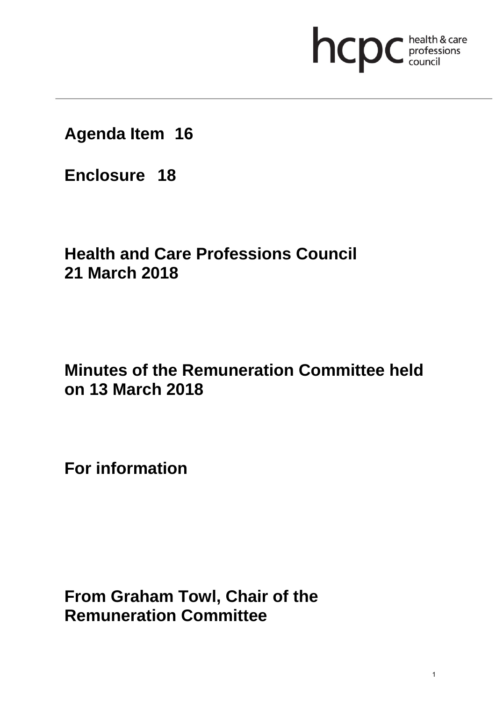## hcpc health & care

**Agenda Item 16**

**Enclosure 18**

## **Health and Care Professions Council 21 March 2018**

## **Minutes of the Remuneration Committee held on 13 March 2018**

**For information** 

**From Graham Towl, Chair of the Remuneration Committee**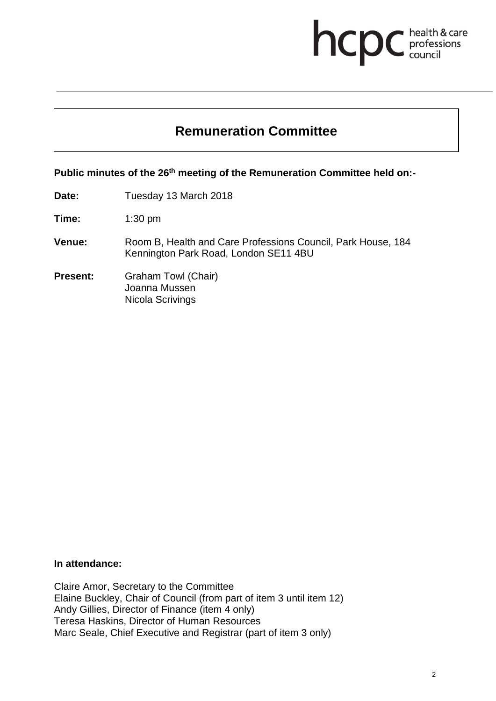# **health & care**

### **Remuneration Committee**

**Public minutes of the 26th meeting of the Remuneration Committee held on:-** 

**Date:** Tuesday 13 March 2018

**Time:** 1:30 pm

- **Venue:** Room B, Health and Care Professions Council, Park House, 184 Kennington Park Road, London SE11 4BU
- **Present:** Graham Towl (Chair) Joanna Mussen Nicola Scrivings

#### **In attendance:**

Claire Amor, Secretary to the Committee Elaine Buckley, Chair of Council (from part of item 3 until item 12) Andy Gillies, Director of Finance (item 4 only) Teresa Haskins, Director of Human Resources Marc Seale, Chief Executive and Registrar (part of item 3 only)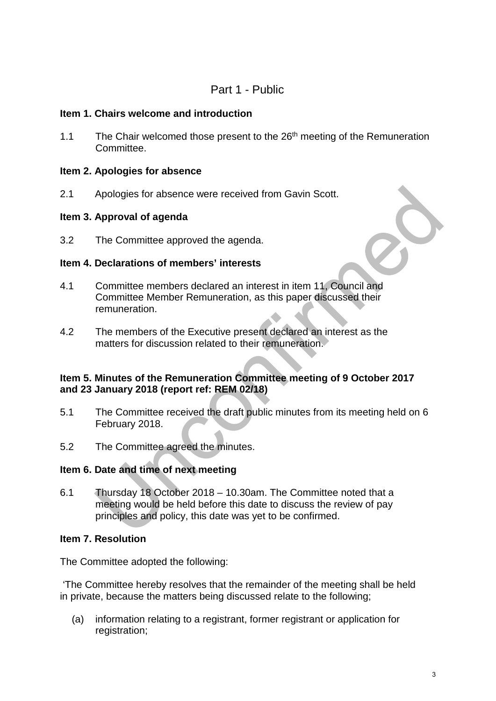#### Part 1 - Public

#### **Item 1. Chairs welcome and introduction**

1.1 The Chair welcomed those present to the 26<sup>th</sup> meeting of the Remuneration Committee.

#### **Item 2. Apologies for absence**

2.1 Apologies for absence were received from Gavin Scott.

#### **Item 3. Approval of agenda**

3.2 The Committee approved the agenda.

#### **Item 4. Declarations of members' interests**

- 4.1 Committee members declared an interest in item 11, Council and Committee Member Remuneration, as this paper discussed their remuneration.
- 4.2 The members of the Executive present declared an interest as the matters for discussion related to their remuneration.

#### **Item 5. Minutes of the Remuneration Committee meeting of 9 October 2017 and 23 January 2018 (report ref: REM 02/18)**

- 5.1 The Committee received the draft public minutes from its meeting held on 6 February 2018.
- 5.2 The Committee agreed the minutes.

#### **Item 6. Date and time of next meeting**

6.1 Thursday 18 October 2018 – 10.30am. The Committee noted that a meeting would be held before this date to discuss the review of pay principles and policy, this date was yet to be confirmed.

#### **Item 7. Resolution**

The Committee adopted the following:

'The Committee hereby resolves that the remainder of the meeting shall be held in private, because the matters being discussed relate to the following;

(a) information relating to a registrant, former registrant or application for registration;